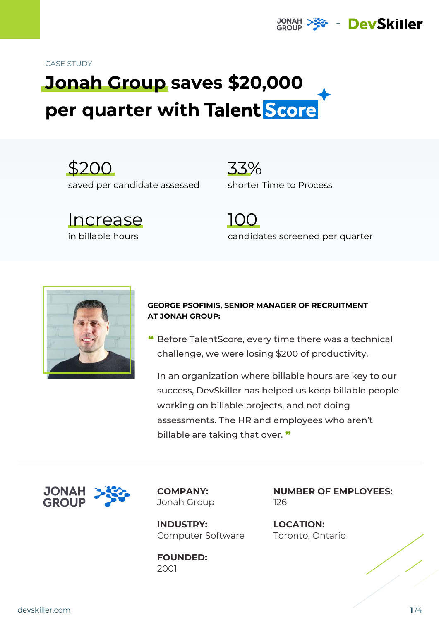#### CASE STUDY

# **Jonah Group saves \$20,000 per quarter with**

\$200 saved per candidate assessed

Increase in billable hours

33% shorter Time to Process

**JONAH** 

100 candidates screened per quarter

+ DevSkiller



#### **GEORGE PSOFIMIS, SENIOR MANAGER OF RECRUITMENT AT JONAH GROUP:**

" Before TalentScore, every time there was a technical challenge, we were losing \$200 of productivity.

In an organization where billable hours are key to our success, DevSkiller has helped us keep billable people working on billable projects, and not doing assessments. The HR and employees who aren't billable are taking that over. "



**COMPANY:** Jonah Group

**INDUSTRY:** Computer Software

**FOUNDED:** 2001

**NUMBER OF EMPLOYEES:** 126

**LOCATION:** Toronto, Ontario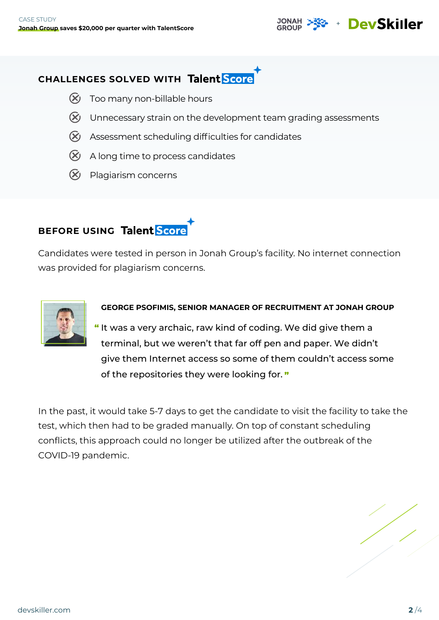## **CHALLENGES SOLVED WITH**

- $\chi$  Too many non-billable hours
- $\chi$  Unnecessary strain on the development team grading assessments
- $%$  Assessment scheduling difficulties for candidates
- $\chi$  A long time to process candidates
- $(X)$  Plagiarism concerns

# **BEFORE USING Talent Score**

Candidates were tested in person in Jonah Group's facility. No internet connection was provided for plagiarism concerns.



#### **GEORGE PSOFIMIS, SENIOR MANAGER OF RECRUITMENT AT JONAH GROUP**

"It was a very archaic, raw kind of coding. We did give them a terminal, but we weren't that far off pen and paper. We didn't give them Internet access so some of them couldn't access some of the repositories they were looking for. "

In the past, it would take 5-7 days to get the candidate to visit the facility to take the test, which then had to be graded manually. On top of constant scheduling conflicts, this approach could no longer be utilized after the outbreak of the COVID-19 pandemic.

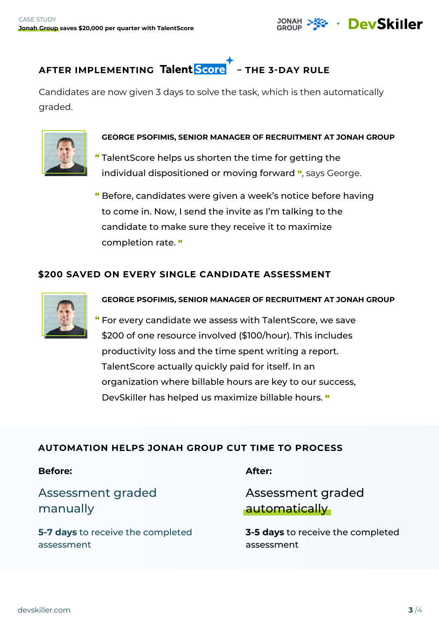



Candidates are now given 3 days to solve the task, which is then automatically graded.



#### **GEORGE PSOFIMIS, SENIOR MANAGER OF RECRUITMENT AT JONAH GROUP**

" TalentScore helps us shorten the time for getting the individual dispositioned or moving forward ", says George.

" Before, candidates were given a week's notice before having to come in. Now, I send the invite as I'm talking to the candidate to make sure they receive it to maximize completion rate. "

#### **\$200 SAVED ON EVERY SINGLE CANDIDATE ASSESSMENT**



**GEORGE PSOFIMIS, SENIOR MANAGER OF RECRUITMENT AT JONAH GROUP**

For every candidate we assess with TalentScore, we save " \$200 of one resource involved (\$100/hour). This includes productivity loss and the time spent writing a report. TalentScore actually quickly paid for itself. In an organization where billable hours are key to our success, DevSkiller has helped us maximize billable hours. "

#### **AUTOMATION HELPS JONAH GROUP CUT TIME TO PROCESS**

#### **Before:**

## Assessment graded manually

**5-7 days** to receive the completed assessment

**After:**

Assessment graded automatically

**3-5 days** to receive the completed assessment